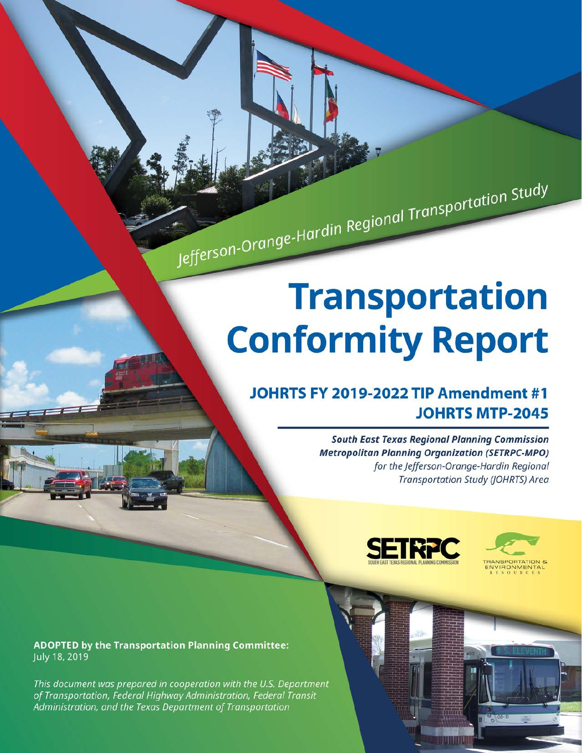Jefferson-Orange-Hardin Regional Transportation Study

# **Transportation Conformity Report**

### JOHRTS FY 2019-2022 TIP Amendment #1 **JOHRTS MTP-2045**

**South East Texas Regional Planning Commission Metropolitan Planning Organization (SETRPC-MPO)** for the Jefferson-Orange-Hardin Regional Transportation Study (JOHRTS) Area

**JUNIOR** 





**ADOPTED by the Transportation Planning Committee:** July 18, 2019

This document was prepared in cooperation with the U.S. Department of Transportation, Federal Highway Administration, Federal Transit Administration, and the Texas Department of Transportation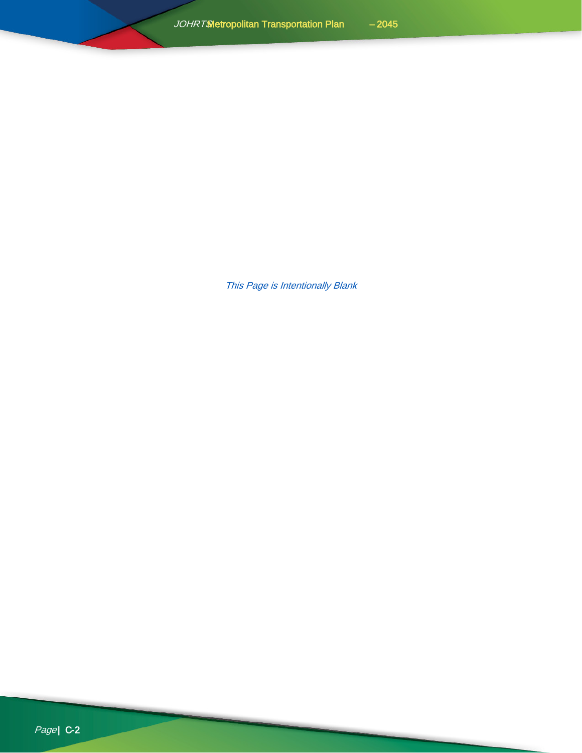This Page is Intentionally Blank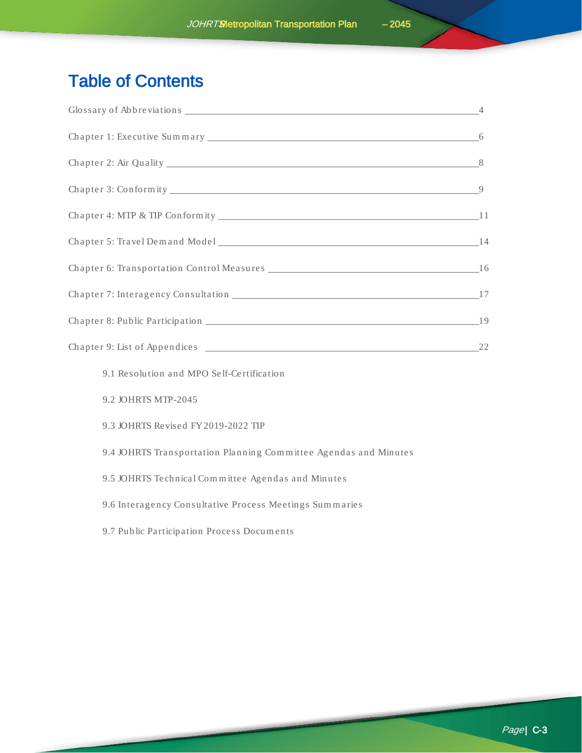### **Table of Contents**

| Glossary of Abbreviations 4                                      |  |
|------------------------------------------------------------------|--|
|                                                                  |  |
|                                                                  |  |
|                                                                  |  |
|                                                                  |  |
|                                                                  |  |
|                                                                  |  |
|                                                                  |  |
|                                                                  |  |
| Chapter 9: List of Appendices 22                                 |  |
| 9.1 Resolution and MPO Self-Certification                        |  |
| 9.2 JOHRTS MTP-2045                                              |  |
| 9.3 JOHRTS Revised FY 2019-2022 TIP                              |  |
| 9.4 JOHRTS Transportation Planning Committee Agendas and Minutes |  |
|                                                                  |  |

9.5 JOHRTS Technical Committee Agendas and Minutes

9.6 Interagency Consultative Process Meetings Summaries

9.7 Public Participation Process Documents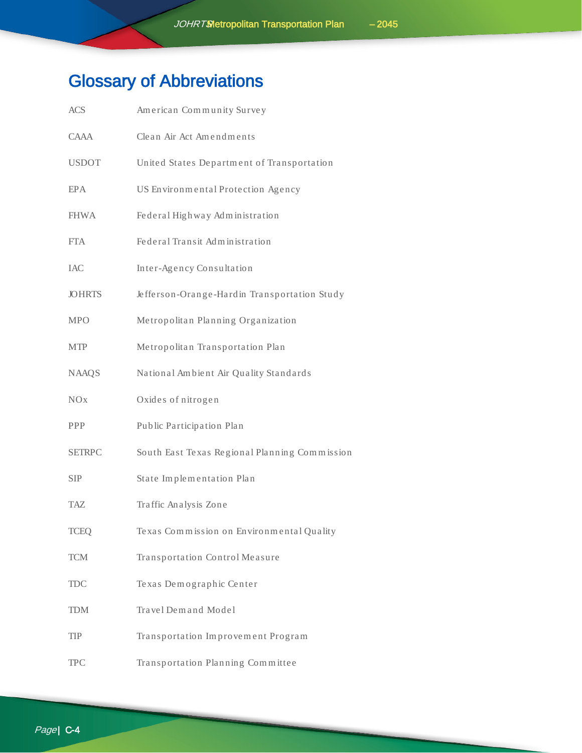# **Glossary of Abbreviations**

| <b>ACS</b>    | American Community Survey                     |
|---------------|-----------------------------------------------|
| CAAA          | Clean Air Act Amendments                      |
| <b>USDOT</b>  | United States Department of Transportation    |
| <b>EPA</b>    | US Environmental Protection Agency            |
| <b>FHWA</b>   | Federal Highway Administration                |
| <b>FTA</b>    | Federal Transit Administration                |
| IAC           | Inter-Agency Consultation                     |
| <b>JOHRTS</b> | Jefferson-Orange-Hardin Transportation Study  |
| <b>MPO</b>    | Metropolitan Planning Organization            |
| <b>MTP</b>    | Metropolitan Transportation Plan              |
| <b>NAAQS</b>  | National Ambient Air Quality Standards        |
| NOx           | Oxides of nitrogen                            |
| <b>PPP</b>    | Public Participation Plan                     |
| <b>SETRPC</b> | South East Texas Regional Planning Commission |
| <b>SIP</b>    | State Implementation Plan                     |
| <b>TAZ</b>    | Traffic Analysis Zone                         |
| <b>TCEQ</b>   | Texas Commission on Environmental Quality     |
| <b>TCM</b>    | Transportation Control Measure                |
| <b>TDC</b>    | Texas Demographic Center                      |
| <b>TDM</b>    | Travel Demand Model                           |
| <b>TIP</b>    | Transportation Improvement Program            |
| <b>TPC</b>    | Transportation Planning Committee             |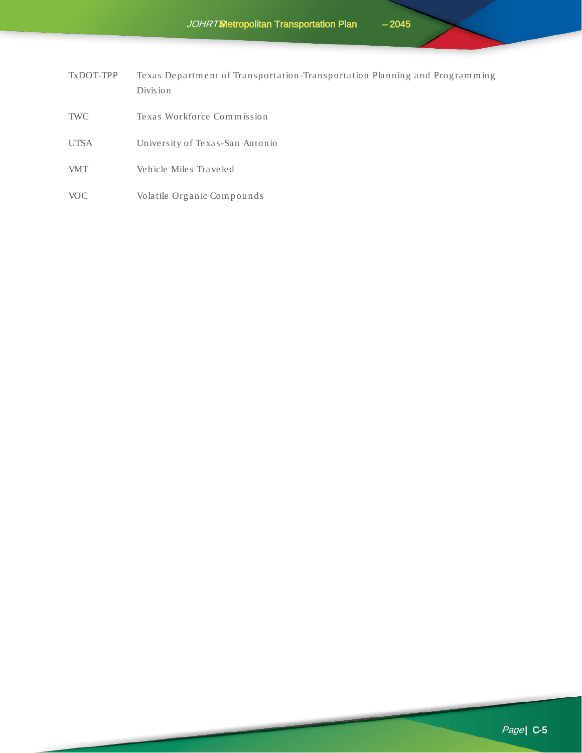- Texas Department of Transportation-Transportation Planning and Programming TxDOT-TPP Division
- Texas Workforce Commission **TWC**
- University of Texas-San Antonio **UTSA**
- Vehicle Miles Traveled **VMT**
- Volatile Organic Compounds **VOC**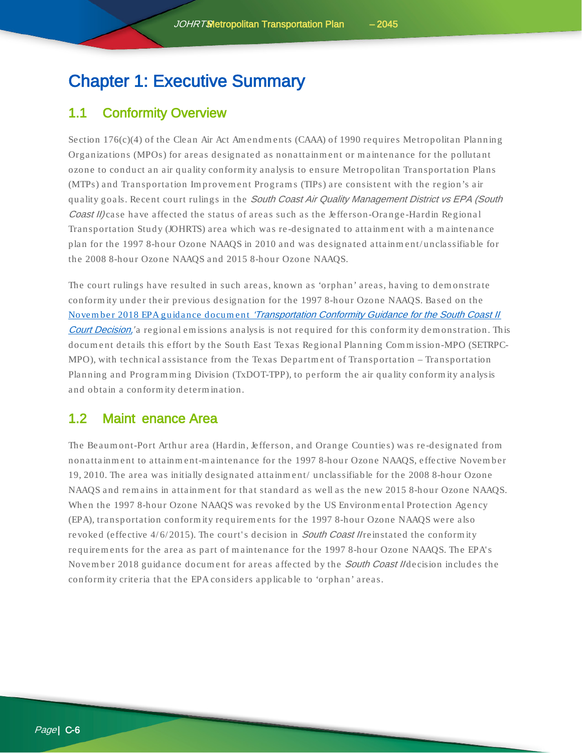### Chapter 1: Executive Summary

#### 1.1 Conformity Overview

Section 176(c)(4) of the Clean Air Act Amendments (CAAA) of 1990 requires Metropolitan Planning Organizations (MPOs) for areas designated as nonattainment or maintenance for the pollutant ozone to conduct an air quality conformity analysis to ensure Metropolitan Transportation Plans (MTPs) and Transportation Improvement Programs (TIPs) are consistent with the region's air quality goals. Recent court rulings in the South Coast Air Quality Management District vs EPA (South Coast II) case have affected the status of areas such as the Jefferson-Orange-Hardin Regional Transportation Study (JOHRTS) area which was re-designated to attainment with a maintenance plan for the 1997 8-hour Ozone NAAQS in 2010 and was designated attainment/unclassifiable for the 2008 8-hour Ozone NAAQS and 2015 8-hour Ozone NAAQS.

The court rulings have resulted in such areas, known as 'orphan' areas, having to demonstrate conform ity under their previous designation for the 1997 8-hour Ozone NAAOS. Based on the November 2018 EPA guidance document 'Transportation Conformity Guidance for the South Coast II [Court Decision,'](https://nepis.epa.gov/Exe/ZyPDF.cgi?Dockey=P100VQME.pdf) a regional emissions analysis is not required for this conformity demonstration. This docum ent details this effort by the South East Texas Regional Planning Commission-MPO (SETRPC-MPO), with technical assistance from the Texas Department of Transportation – Transportation Planning and Programming Division (TxDOT-TPP), to perform the air quality conformity analysis and obtain a conformity determination.

#### 1.2 Maint enance Area

The Beaum ont-Port Arthur area (Hardin, Jefferson, and Orange Counties) was re-designated from nonatta inm e nt to attainm ent-m aintenance for the 1997 8-hou r Ozone NAAQS, effective Novem ber 19, 2010. The area was initially designated attainment/ unclassifiable for the 2008 8-hour Ozone NAAQS and rem ains in attainm ent for that standard as well as the new 2015 8-hour Ozone NAAQS. When the 1997 8-hour Ozone NAAQS was revoked by the US Environmental Protection Agency (EPA), transp ortation conform ity req uirem ents for the 1997 8-hou r Ozone NAAQS were also revoked (effective  $4/6/2015$ ). The court's decision in *South Coast II* reinstated the conformity requirements for the area as part of maintenance for the 1997 8-hour Ozone NAAQS. The EPA's November 2018 guidance document for areas affected by the South Coast II decision includes the conform ity criteria that the EPA considers applicable to 'orphan' areas.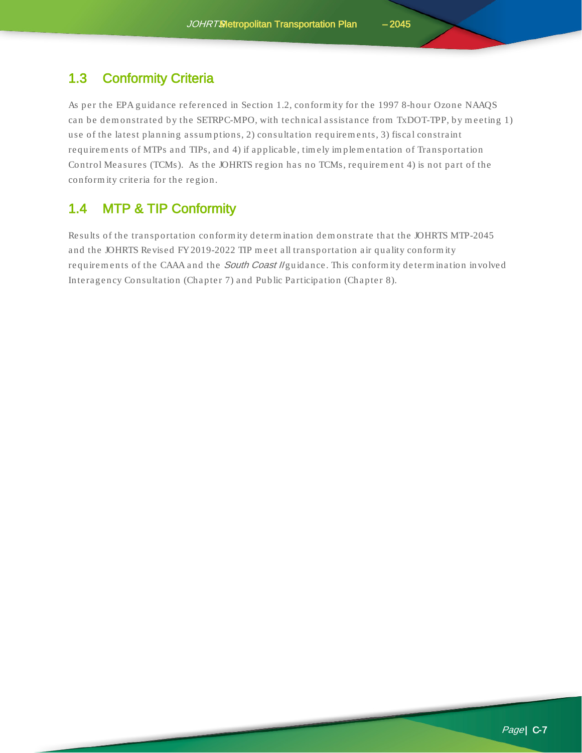#### **Conformity Criteria**  $1.3$

As per the EPA guidance referenced in Section 1.2, conformity for the 1997 8-hour Ozone NAAQS can be demonstrated by the SETRPC-MPO, with technical assistance from TxDOT-TPP, by meeting 1) use of the latest planning assumptions, 2) consultation requirements, 3) fiscal constraint requirements of MTPs and TIPs, and 4) if applicable, timely implementation of Transportation Control Measures (TCMs). As the JOHRTS region has no TCMs, requirement 4) is not part of the conformity criteria for the region.

#### **MTP & TIP Conformity**  $1.4$

Results of the transportation conformity determination demonstrate that the JOHRTS MTP-2045 and the JOHRTS Revised FY 2019-2022 TIP meet all transportation air quality conformity requirements of the CAAA and the *South Coast liguidance*. This conformity determination involved Interagency Consultation (Chapter 7) and Public Participation (Chapter 8).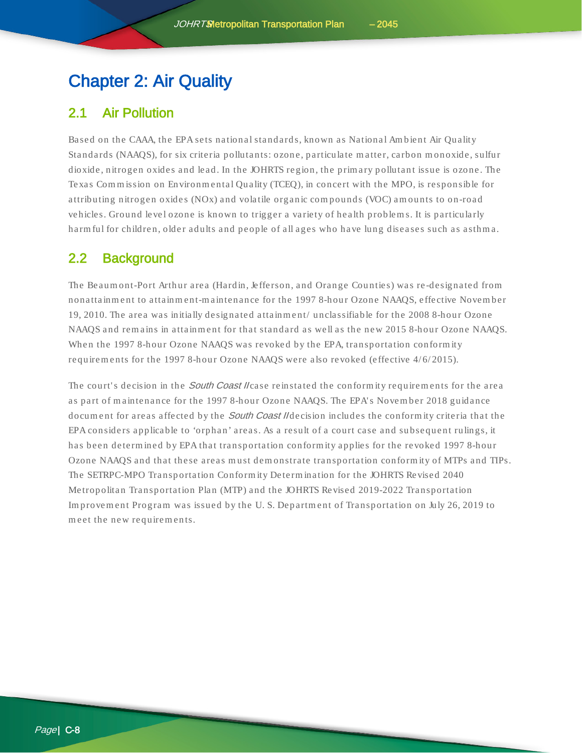### Chapter 2: Air Quality

#### 2.1 Air Pollution

Based on the CAAA, the EPA sets national standards, known as National Ambient Air Quality Standards (NAAQS), for six criteria pollutants: ozone, particulate matter, carbon monoxide, sulfur dioxide, nitrogen oxides and lead. In the JOHRTS region, the primary pollutant issue is ozone. The Texas Commission on Environmental Quality (TCEQ), in concert with the MPO, is responsible for attributing nitrogen oxides (NOx) and volatile organic compounds (VOC) amounts to on-road vehicles. Ground level ozone is known to trigger a variety of health problems. It is particularly harm ful for children, older adults and people of all ages who have lung diseases such as asthma.

#### 2.2 Background

The Beaum ont-Port Arthur area (Hardin, Jefferson, and Orange Counties) was re-designated from nonatta inm e nt to attainm ent-m aintenance for the 1997 8-hou r Ozone NAAQS, effective Novem ber 19, 2010. The area was initially designated attainment/ unclassifiable for the 2008 8-hour Ozone NAAQS and rem ains in attainm ent for that standard as well as the new 2015 8-hour Ozone NAAQS. When the 1997 8-hour Ozone NAAQS was revoked by the EPA, transportation conformity requirements for the 1997 8-hour Ozone NAAQS were also revoked (effective  $4/6/2015$ ).

The court's decision in the *South Coast II* case reinstated the conformity requirements for the area as part of maintenance for the 1997 8-hour Ozone NAAQS. The EPA's November 2018 guidance docum ent for areas affected by the *South Coast II* decision includes the conformity criteria that the EPA considers applicable to 'orphan' areas. As a result of a court case and subsequent rulings, it has been determined by EPA that transportation conformity applies for the revoked 1997 8-hour Ozone NAAQS and that these areas must demonstrate transportation conformity of MTPs and TIPs. The SETRPC-MPO Transportation Conform ity Determ ination for the JOHRTS Revised 2040 Metropolitan Transportation Plan (MTP) and the JOHRTS Revised 2019-2022 Transportation Im provement Program was issued by the U.S. Department of Transportation on July 26, 2019 to meet the new requirements.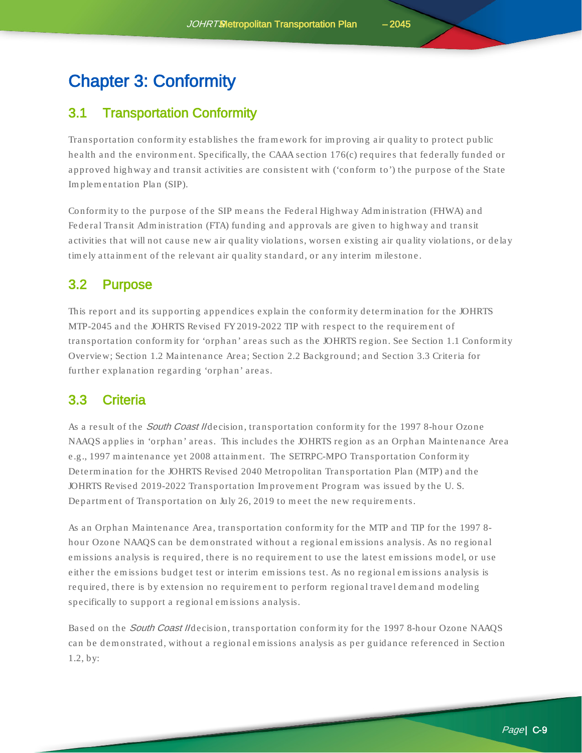### Chapter 3: Conformity

#### 3.1 Transportation Conformity

Transportation conform ity establishes the framework for improving air quality to protect public health and the environment. Specifically, the CAAA section 176(c) requires that federally funded or approve d high way and transit activities are consistent with ('conform to') the purpose of the State Implementation Plan (SIP).

Conform ity to the purpose of the SIP means the Federal Highway Administration (FHWA) and Federal Transit Administration (FTA) funding and approvals are given to highway and transit activities that will not cause new air quality violations, worsen existing air quality violations, or delay timely attainment of the relevant air quality standard, or any interim milestone.

#### 3.2 Purpose

This report and its supporting appendices explain the conformity determination for the JOHRTS MTP-2045 and the JOHRTS Revised FY 2019-2022 TIP with respect to the requirement of transportation conform ity for 'orpha n' areas such as the JOHRTS region. See Section 1.1 Conform ity Overview; Section 1.2 Maintenance Area; Section 2.2 Background ; and Section 3.3 Criteria for further explanation regarding 'orphan' areas.

#### 3.3 Criteria

As a result of the *South Coast II* decision, transportation conformity for the 1997 8-hour Ozone NAAQS applies in 'orphan' areas. This includes the JOHRTS region as an Orphan Maintenance Area e.g., 1997 m aintenance ye t 2008 attainm ent. The SETRPC-MPO Transportation Conform ity Determ ination for the JOHRTS Revised 2040 Metropolitan Tra nsportation Plan (MTP) and the JOHRTS Revised 2019-2022 Transportation Improvement Program was issued by the U.S. Department of Transportation on July 26, 2019 to meet the new requirements.

As an Orphan Maintenance Area, transportation conformity for the MTP and TIP for the 1997 8hour Ozone NAAQS can be demonstrated without a regional emissions analysis. As no regional emissions analysis is required, there is no requirement to use the latest emissions model, or use either the emissions budget test or interim emissions test. As no regional emissions analysis is required, there is by extension no requirement to perform regional travel demand modeling specifically to su pport a regional em issions analysis.

Based on the *South Coast II* decision, transportation conformity for the 1997 8-hour Ozone NAAQS can be demonstrated, without a regional emissions analysis as per guidance referenced in Section 1.2, by: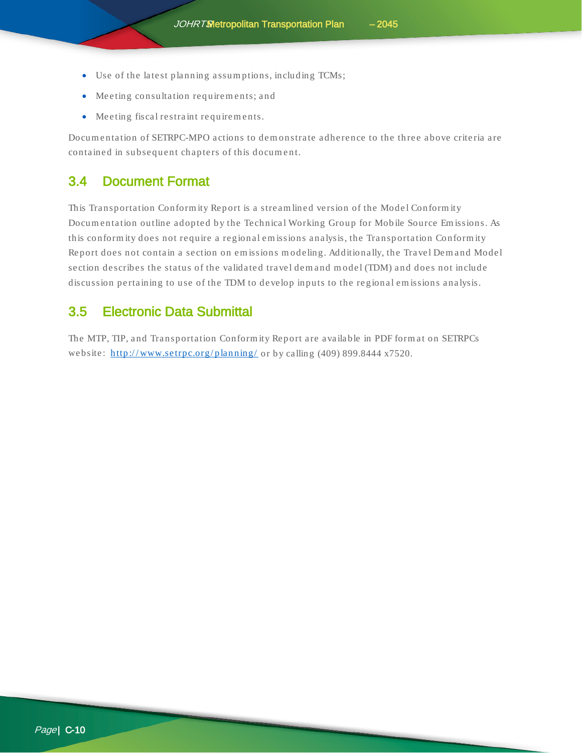- Use of the latest planning assumptions, including TCMs;
- Meeting consultation requirements; and
- Meeting fiscal restraint requirements.

Documentation of SETRPC-MPO actions to demonstrate adherence to the three above criteria are contained in subsequent chapters of this document.

#### 3.4 Document Format

This Transportation Conform ity Report is a stream lined version of the Model Conform ity Docum entation outline adopted by the Technical Working Group for Mobile Source Emissions. As this conform ity does not require a regional em issions analysis, the Transp ortation Conform ity Report does n ot contain a section on em issions m odeling. Additionally, the Travel Dem and Model section describes the status of the validate d travel dem and m odel (TDM) an d does not include discussion pertaining to use of the TDM to develop inputs to the regional emissions analysis.

#### 3.5 Electronic Data Submittal

The MTP, TIP, and Transportation Conformity Report are available in PDF form at on SETRPCs website: http://www.setrpc.org/planning/ or by calling (409) 899.8444 x7520.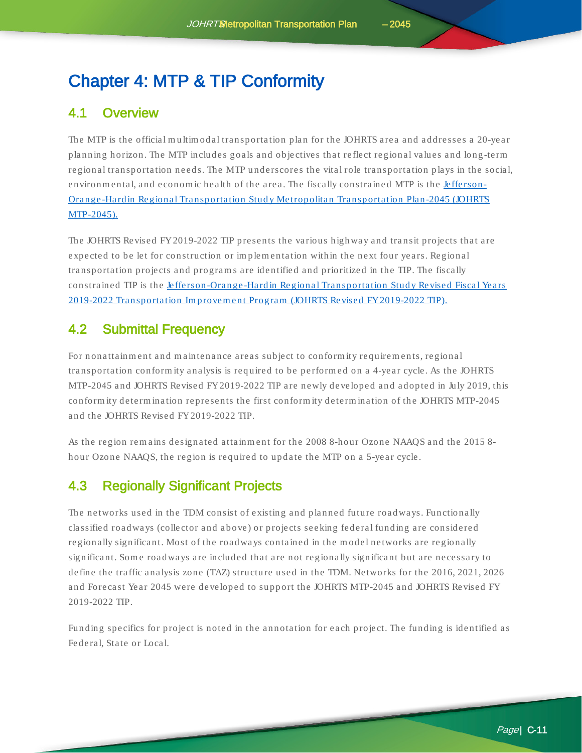### Chapter 4: MTP & TIP Conformity

#### 4.1 Overview

The MTP is the official multimodal transportation plan for the JOHRTS area and addresses a 20-year plan ning horizon . The MTP includes g oals and ob je ctives that reflect re gional values and long -term regional transportation needs. The MTP underscores the vital role transportation plays in the social, environmental, and economic health of the area. The fiscally constrained MTP is the [Jefferson-](http://www.setrpc.org/metropolitan-transportation-plan/)Orange [-Hardin Regional Transportation Stud y Metropolitan Transp ortation Plan-2045 \(JOHRTS](http://www.setrpc.org/metropolitan-transportation-plan/)  [MTP-2045\).](http://www.setrpc.org/metropolitan-transportation-plan/)

The JOHRTS Revised FY 2019-2022 TIP presents the various highway and transit projects that are expected to be let for construction or implementation within the next four years. Regional transportation projects a nd program s are ide ntifie d and prioritize d in the TIP. The fiscally constrained TIP is the *Jefferson-Orange-Hardin Regional Transportation Study Revised Fiscal Years* [2019-2022 Transportation Im provem e nt Program \(JOHRTS Revised FY 2019-2022 TIP\).](http://www.setrpc.org/transportation-improvement-program/)

#### 4.2 Submittal Frequency

For nonattainment and maintenance areas subject to conformity requirements, regional transportation conform ity analysis is required to be performed on a 4-year cycle. As the JOHRTS MTP-2045 and JOHRTS Revised FY 2019-2022 TIP are newly developed and adopted in July 2019, this conform ity determination represents the first conformity determination of the JOHRTS MTP-2045 and the JOHRTS Revised FY 2019-2022 TIP.

As the region remains designated attainment for the 2008 8-hour Ozone NAAQS and the 2015 8hour Ozone NAAQS, the region is required to update the MTP on a 5-year cycle.

### 4.3 Regionally Significant Projects

The networks used in the TDM consist of existing and plan ned future roadways. Functionally classified roadways (colle ctor and above) or projects seeking federa l fund ing are conside red regionally sign ificant. Most of the roadways contained in the m odel networks are regionally significant. Some roadways are included that are not regionally significant but are necessary to define the traffic analysis zone (TAZ) structure used in the TDM. Networks for the 2016, 2021, 2026 and Forecast Year 2045 were developed to su pport the JOHRTS MTP-2045 and JOHRTS Revised FY 2019-2022 TIP.

Funding specifics for project is noted in the annotation for each project. The funding is identified as Federal, State or Local.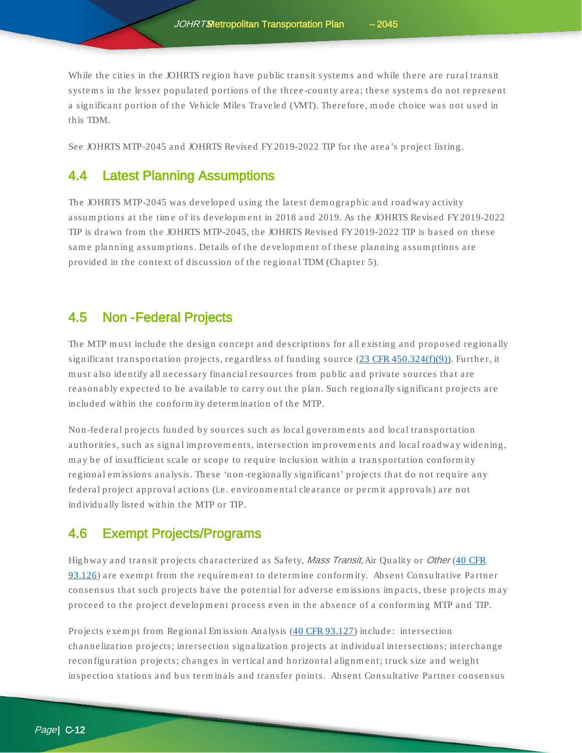While the cities in the JOHRTS region have public transit systems and while there are rural transit systems in the lesser populated portions of the three-county area; these systems do not represent a significant portion of the Vehicle Miles Traveled (VMT). Therefore, mode choice was not used in this TDM.

See JOHRTS MTP-2045 and JOHRTS Revised FY2019-2022 TIP for the area's project listing.

#### 4.4 Latest Planning Assumptions

The JOHRTS MTP-2045 was developed using the latest demographic and roadway activity assum ptions at the time of its development in 2018 and 2019. As the JOHRTS Revised FY 2019-2022 TIP is dra wn from the JOHRTS MTP-2045, the JOHRTS Revised FY 2019-2022 TIP is based on these same planning assumptions. Details of the development of these planning assumptions are provided in the context of discussion of the regional TDM (Chapter 5).

#### 4.5 Non -Federal Projects

The MTP must include the design concept and descriptions for all existing and proposed regionally significant transportation projects, regardless of funding source [\(23 CFR 450.324\(f\)\(9\)\).](https://www.ecfr.gov/cgi-bin/text-idx?SID=1516efd1d3903ee9125affd4c9d5ccde&mc=true&node=se23.1.450_1324&rgn=div8) Further, it must also identify all necessary financial resources from public and private sources that are reasonably expected to be available to carry out the plan. Such regionally significant projects are included within the conformity determination of the MTP.

Non-federal projects funded by sources such as local governments and local transportation authorities, such as signal improvements, intersection improvements and local roadway widening, may be of insufficient scale or scope to require inclusion within a transportation conformity regional emissions analysis. These 'non-regionally significant' projects that do not require any federal project approval a ctions (i.e . environm e ntal clearance or pe rm it app rovals) are not ind ividua lly liste d within the MTP or TIP.

### 4.6 Exempt Projects/Programs

High way and transit projects characterized as Safety, Mass Transit, Air Quality or Other (40 CFR [93.126\)](https://www.ecfr.gov/cgi-bin/text-idx?SID=d1fe09b0ac74fc12ea419e666d418eaf&mc=true&node=se40.22.93_1126&rgn=div8) are exempt from the requirement to determine conformity. Absent Consultative Partner consensus that such projects have the potential for adverse emissions impacts, these projects may proceed to the project de velopm ent process even in the absence of a conform ing MTP and TIP.

Projects exempt from Regional Emission Analysis [\(40 CFR 93.127\)](https://www.ecfr.gov/cgi-bin/text-idx?SID=d1fe09b0ac74fc12ea419e666d418eaf&mc=true&node=se40.22.93_1127&rgn=div8) include: intersection channe lization projects; intersection signa lization projects at ind ividual inte rsections; interchange reconfiguration projects; changes in vertical and horizontal alignment; truck size and weight inspection stations and bus terminals and transfer points. Absent Consultative Partner consensus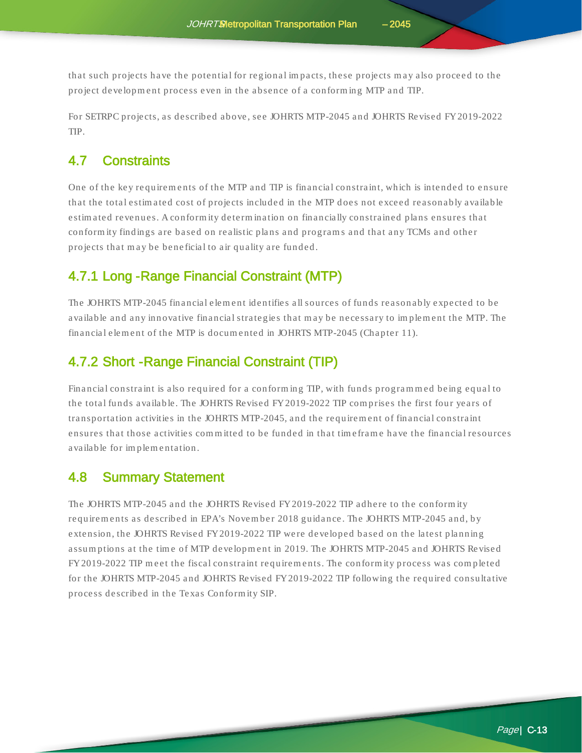that such projects have the potential for regional impacts, these projects may also proceed to the project developm e nt process even in the absence of a conform ing MTP an d TIP.

For SETRPC projects, as described above, see JOHRTS MTP-2045 and JOHRTS Revised FY 2019-2022 TIP.

#### 4.7 Constraints

One of the key requirements of the MTP and TIP is financial constraint, which is intended to ensure that the total estimated cost of projects included in the MTP does not exceed reasonably available estim ated reven ues. A conform ity determ ination on financially constrained plans ensures that conform ity findings are based on realistic plans and programs and that any TCMs and other projects that may be beneficial to air quality are funded.

#### 4.7.1 Long -Range Financial Constraint (MTP)

The JOHRTS MTP-2045 financial element identifies all sources of funds reasonably expected to be available and any innovative financial strategies that may be necessary to implement the MTP. The financia l elem ent of the MTP is docum ented in JOHRTS MTP-2045 (Chap ter 11).

#### 4.7.2 Short -Range Financial Constraint (TIP)

Financial constraint is also required for a conforming TIP, with funds programmed being equal to the total funds available. The JOHRTS Revised FY 2019-2022 TIP comprises the first four years of transportation activities in the JOHRTS MTP-2045, and the req uirem ent of fin ancial constraint ensures that those activities committed to be funded in that time frame have the financial resources available for im plem e ntation .

#### 4.8 Summary Statement

The JOHRTS MTP-2045 and the JOHRTS Revised FY 2019-2022 TIP adhere to the conformity requirements as described in EPA's November 2018 guidance. The JOHRTS MTP-2045 and, by extension, the JOHRTS Revised FY 2019-2022 TIP were developed based on the latest planning assum ptions at the time of MTP development in 2019. The JOHRTS MTP-2045 and JOHRTS Revised FY 2019-2022 TIP meet the fiscal constraint requirements. The conformity process was completed for the JOHRTS MTP-2045 and JOHRTS Revised FY 2019-2022 TIP following the requ ired consu ltative process described in the Texas Conform ity SIP.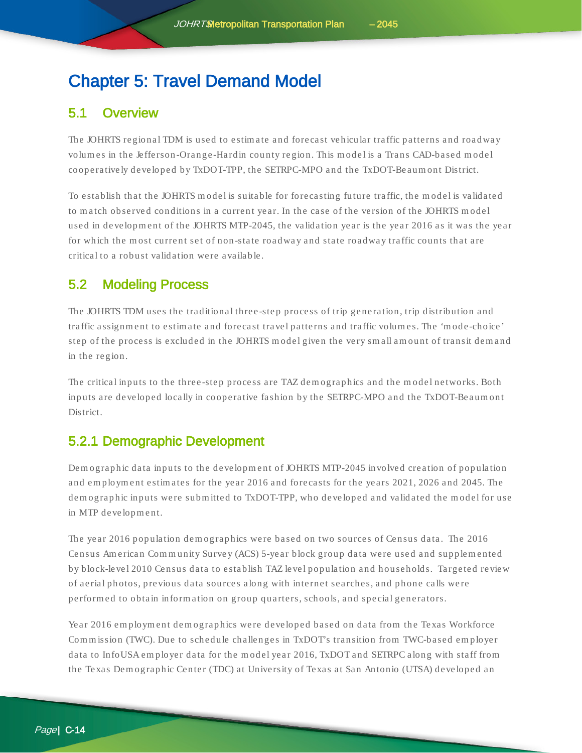### Chapter 5: Travel Demand Model

#### 5.1 Overview

The JOHRTS regional TDM is used to estim ate and forecast veh icu lar traffic patterns and road way volum es in the Jefferson-Orange -Hardin cou nty re gion. This m ode l is a Tran s CAD-based m ode l coope rative ly deve loped by TxDOT-TPP, the SETRPC-MPO and the TxDOT-Be aum ont District.

To establish that the JOHRTS model is suitable for forecasting future traffic, the model is validated to match observed conditions in a current year. In the case of the version of the JOHRTS model used in development of the JOHRTS MTP-2045, the validation year is the year 2016 as it was the year for which the most current set of non-state roadway and state roadway traffic counts that are critical to a robust validation were available.

#### 5.2 Modeling Process

The JOHRTS TDM uses the traditional three-step process of trip generation, trip distribution and traffic assignm ent to estim ate and forecast travel patterns and traffic volum es. The 'm ode -choice' step of the process is excluded in the JOHRTS m odel give n the very sm all am ount of transit dem and in the re gion.

The critical inputs to the three-step process are TAZ demographics and the model networks. Both inputs are developed locally in cooperative fashion by the SETRPC-MPO and the TxDOT-Beaumont District.

#### 5.2.1 Demographic Development

Dem ographic data inputs to the development of JOHRTS MTP-2045 involved creation of population and em ploym ent estim ates for the year 2016 and forecasts for the years 2021, 2026 and 2045. The dem ograp hic inp uts were subm itted to TxDOT-TPP, who deve loped and valid ated the m odel for use in MTP deve lopm e nt.

The year 2016 population demographics were based on two sources of Census data. The 2016 Census American Community Survey (ACS) 5-year block group data were used and supplemented by block-level 2010 Census data to establish TAZ level population and households. Targeted review of aerial photos, previous data sources along with internet searches, and phone calls were performed to obtain information on group quarters, schools, and special generators.

Year 2016 employment demographics were developed based on data from the Texas Workforce Commission (TWC). Due to schedule challenges in TxDOT's transition from TWC-based employer data to InfoUSA em ployer data for the m odel year 2016, TxDOT and SETRPC along with staff from the Texas Dem ograph ic Center (TDC) at University of Texas at San Antonio (UTSA) deve loped an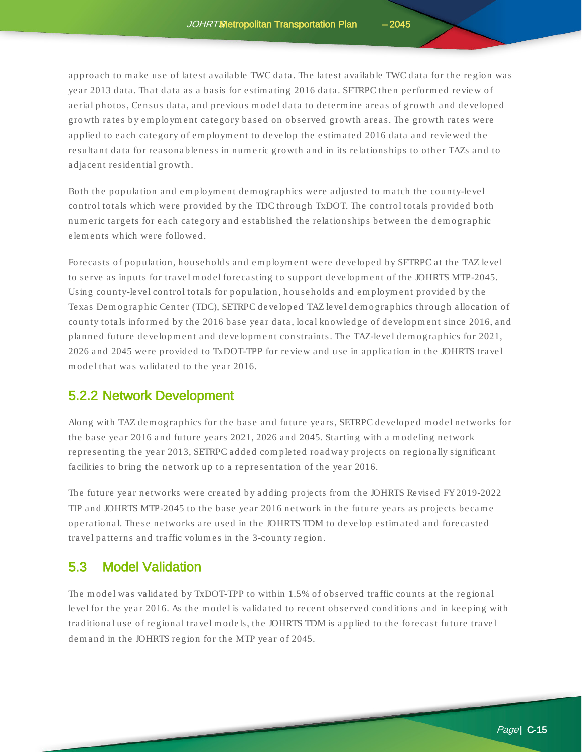approach to make use of latest available TWC data. The latest available TWC data for the region was year 2013 data. That data as a basis for estim ating 2016 data. SETRPC then pe rform ed re vie w of aerial photos, Census data, and previous model data to determine areas of growth and developed growth rates by employment category based on observed growth areas. The growth rates were applied to each category of employment to develop the estimated 2016 data and reviewed the resultant data for reasonableness in numeric growth and in its relationships to other TAZs and to adjacent residential growth.

Both the population and employment demographics were adjusted to match the county-level control totals which were provided by the TDC through TxDOT. The control totals provided both numeric targets for each category and established the relationships between the demographic elem ents which were followed.

Forecasts of population, households and employment were developed by SETRPC at the TAZ level to serve as inputs for travel model forecasting to support development of the JOHRTS MTP-2045. Using county-level control totals for population, households and employment provided by the Texas Dem ograph ic Cen te r (TDC), SETRPC deve lop ed TAZ le vel dem ograp hics through allocation of county totals informed by the 2016 base year data, local knowledge of development since 2016, and planned future development and development constraints. The TAZ-level demographics for 2021, 2026 and 2045 were provided to TxDOT-TPP for review and use in app lication in the JOHRTS travel m odel that was validated to the year 2016.

#### 5.2.2 Network Development

Along with TAZ demographics for the base and future years, SETRPC developed model networks for the base year 2016 and future years 2021, 2026 and 2045. Starting with a modeling network representing the year 2013, SETRPC added completed roadway projects on regionally significant facilities to bring the network up to a represe ntation of the year 2016.

The future year networks were created by adding projects from the JOHRTS Revised FY 2019-2022 TIP and JOHRTS MTP-2045 to the base year 2016 network in the futu re years as projects becam e operationa l. These networks are used in the JOHRTS TDM to develop estim ated and forecasted travel patterns and traffic volumes in the 3-county region.

#### 5.3 Model Validation

The model was validated by TxDOT-TPP to within 1.5% of observed traffic counts at the regional level for the year 2016. As the model is validated to recent observed conditions and in keeping with traditional use of regiona l travel m ode ls, the JOHRTS TDM is applied to the forecast future trave l dem and in the JOHRTS region for the MTP year of 2045.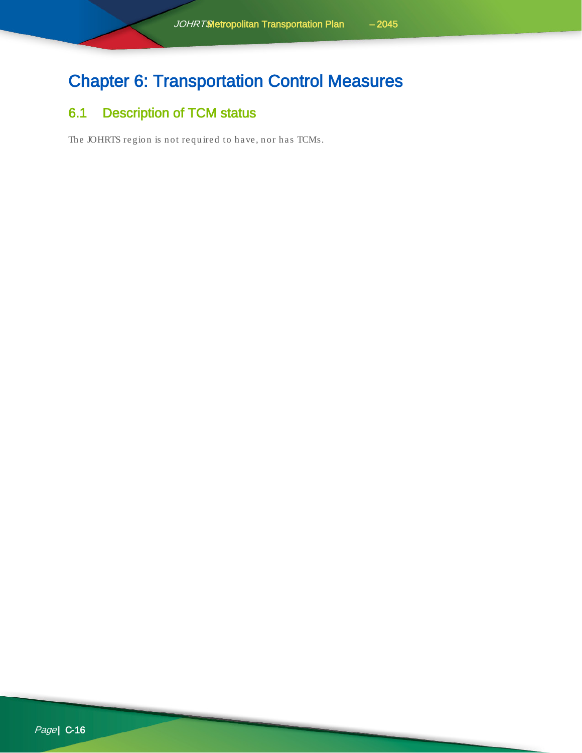# Chapter 6: Transportation Control Measures

### 6.1 Description of TCM status

The JOHRTS region is not requ ired to have, nor has TCMs.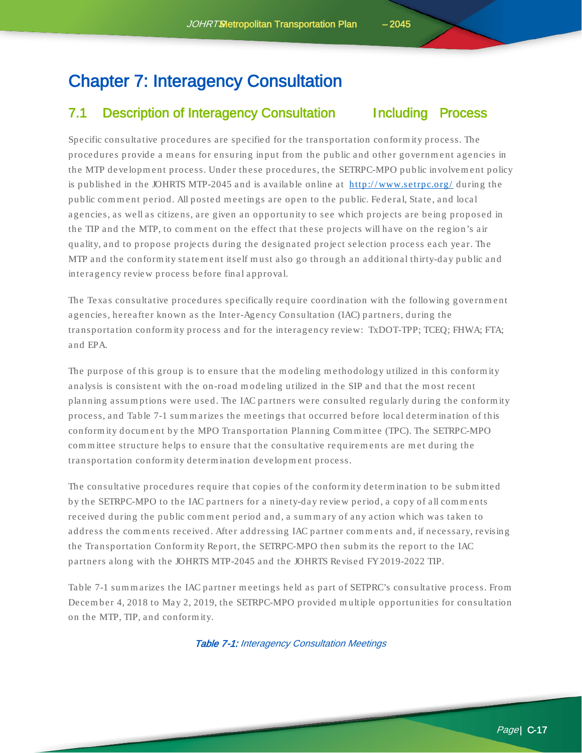### Chapter 7: Interagency Consultation

#### 7.1 Description of Interagency Consultation Including Process

Specific consultative procedures are specifie d for the transp ortation conform ity process. The procedures provide a means for ensuring input from the public and other government agencies in the MTP development process. Under these procedures, the SETRPC-MPO public involvement policy is published in the JOHRTS MTP-2045 and is available online at http://www.setrpc.org/ during the public comment period. All posted meetings are open to the public. Federal, State, and local agencies, as well as citizens, are given an opportunity to see which projects are being proposed in the TIP and the MTP, to comment on the effect that these projects will have on the region's air quality, and to propose projects during the designated project selection process each year. The MTP and the conform ity statement itself must also go through an additional thirty-day public and inte ragency revie w proce ss before final approval.

The Texas consultative procedures specifically require coordination with the following government agencies, hereafter known as the Inter-Agency Consultation (IAC) partners, during the transportation conform ity process and for the interagency review: TxDOT-TPP; TCEQ; FHWA; FTA; and EPA.

The purpose of this group is to ensure that the modeling methodology utilized in this conformity analysis is consistent with the on-road modeling utilized in the SIP and that the most recent planning assumptions were used. The IAC partners were consulted regularly during the conformity process, and Table 7-1 summarizes the meetings that occurred before local determination of this conform ity document by the MPO Transportation Planning Committee (TPC). The SETRPC-MPO committee structure helps to ensure that the consultative requirements are met during the transportation conform ity determ ination developm ent process.

The consultative procedures require that copies of the conformity determination to be submitted by the SETRPC-MPO to the IAC partners for a ninety-day review period, a copy of all comments received during the public comment period and, a summary of any action which was taken to address the comments received. After addressing IAC partner comments and, if necessary, revising the Transportation Conformity Report, the SETRPC-MPO then submits the report to the IAC partners along with the JOHRTS MTP-2045 and the JOHRTS Revised FY 2019-2022 TIP.

Table 7-1 sum m arizes the IAC partner m eetings held as part of SETPRC's con sultative process. From December 4, 2018 to May 2, 2019, the SETRPC-MPO provided multiple opportunities for consultation on the MTP, TIP, and conform ity.

**Table 7-1: Interagency Consultation Meetings**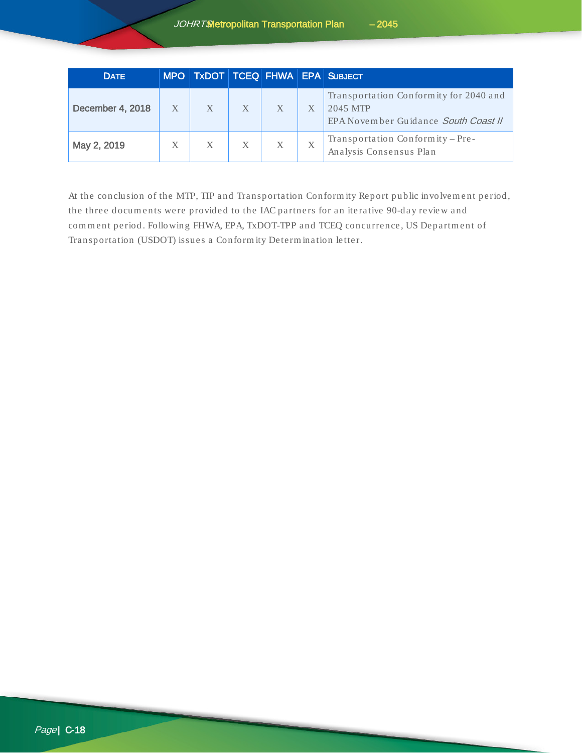| <b>DATE</b>      |   |   |   |   |   | MPO   TXDOT   TCEQ   FHWA   EPA   SUBJECT                                                  |
|------------------|---|---|---|---|---|--------------------------------------------------------------------------------------------|
| December 4, 2018 | X | X | X | X |   | Transportation Conformity for 2040 and<br>2045 MTP<br>EPA November Guidance South Coast II |
| May 2, 2019      |   |   | X | X | Χ | Transportation Conformity - Pre-<br>Analysis Consensus Plan                                |

At the conclusion of the MTP, TIP and Transportation Conformity Report public involvement period, the three documents were provided to the IAC partners for an iterative 90-day review and comment period. Following FHWA, EPA, TxDOT-TPP and TCEQ concurrence, US Department of Transportation (USDOT) issues a Conformity Determination letter.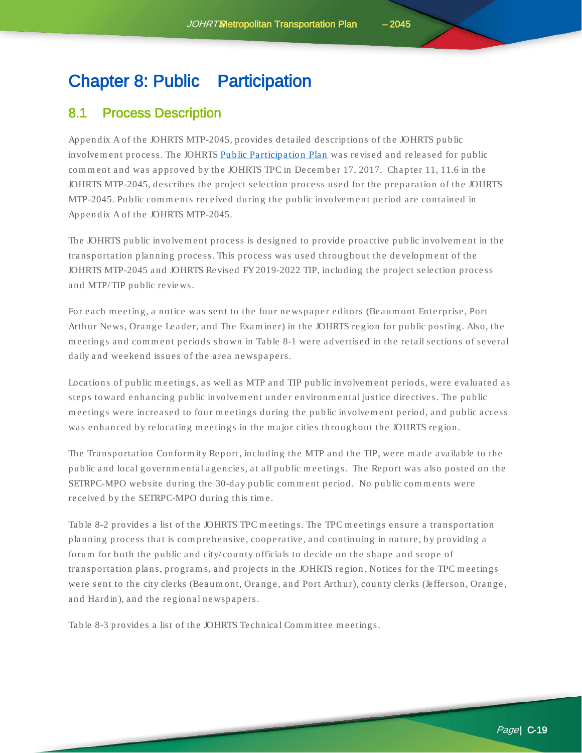### Chapter 8: Public Participation

#### 8.1 Process Description

Appen dix A of the JOHRTS MTP-2045, provides detailed descriptions of the JOHRTS public involvement process. The JOHRTS Public Participation Plan was revised and released for public comment and was approved by the JOHRTS TPC in December 17, 2017. Chapter 11, 11.6 in the JOHRTS MTP-2045, describes the project selection process used for the prep aration of the JOHRTS MTP-2045. Public comments received during the public involvement period are contained in Appen dix A of the JOHRTS MTP-2045.

The JOHRTS public involvement process is designed to provide proactive public involvement in the transportation planning process. This process was used throughout the development of the JOHRTS MTP-2045 and JOHRTS Revised FY 2019-2022 TIP, including the project selection process and MTP/TIP public reviews.

For each meeting, a notice was sent to the four newspaper editors (Beaumont Enterprise, Port Arthur News, Orange Leader, and The Examiner) in the JOHRTS region for public posting. Also, the meetings and comment periods shown in Table 8-1 were advertised in the retail sections of several daily and weekend issues of the area newspapers.

Locations of public meetings, as well as MTP and TIP public involvement periods, were evaluated as steps toward enhancing public involvement under environmental justice directives. The public meetings were increased to four meetings during the public involvement period, and public access was enhanced by relocating meetings in the major cities throughout the JOHRTS region.

The Transportation Conform ity Report, including the MTP and the TIP, were made available to the pub lic and local governm ental agencies, at all public m eetings. The Rep ort was also posted on the SETRPC-MPO website during the 30-day public comment period. No public comments were received by the SETRPC-MPO during this time.

Table 8-2 provides a list of the JOHRTS TPC meetings. The TPC meetings ensure a transportation plan ning process that is com pre hensive, coope rative, and continu ing in nature, by provid ing a forum for both the public and city/ county officials to decide on the shape and scope of transportation plans, programs, and projects in the JOHRTS region. Notices for the TPC meetings were sent to the city clerks (Beaum ont, Orange, and Port Arthur), county clerks (Jefferson, Orange, and Hardin), and the regional newspapers.

Table 8-3 provides a list of the JOHRTS Technical Com m ittee m eetings.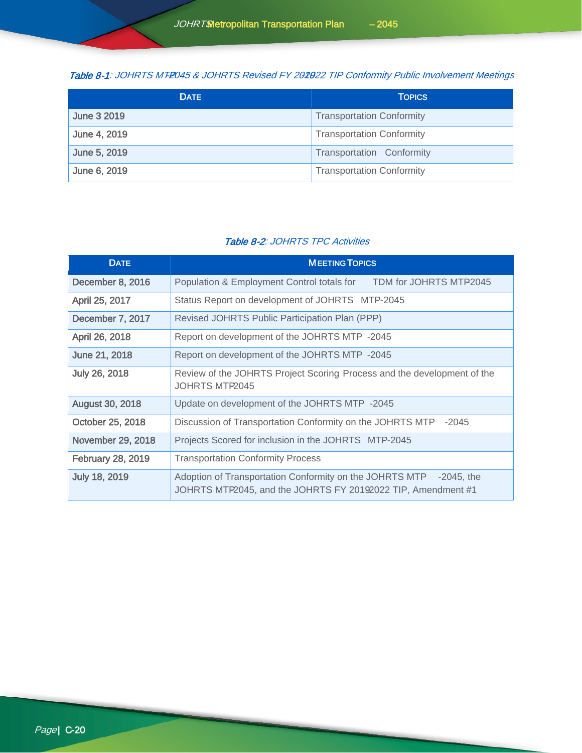Table 8-1: JOHRTS MTP045 & JOHRTS Revised FY 202022 TIP Conformity Public Involvement Meetings

| <b>DATE</b>        | <b>TOPICS</b>                    |
|--------------------|----------------------------------|
| <b>June 3 2019</b> | <b>Transportation Conformity</b> |
| June 4, 2019       | <b>Transportation Conformity</b> |
| June 5, 2019       | Transportation Conformity        |
| June 6, 2019       | <b>Transportation Conformity</b> |

#### Table 8-2: JOHRTS TPC Activities

| <b>DATE</b>              | <b>MEETING TOPICS</b>                                                                                                                    |
|--------------------------|------------------------------------------------------------------------------------------------------------------------------------------|
| December 8, 2016         | Population & Employment Control totals for<br>TDM for JOHRTS MTP2045                                                                     |
| April 25, 2017           | Status Report on development of JOHRTS MTP-2045                                                                                          |
| December 7, 2017         | Revised JOHRTS Public Participation Plan (PPP)                                                                                           |
| April 26, 2018           | Report on development of the JOHRTS MTP -2045                                                                                            |
| June 21, 2018            | Report on development of the JOHRTS MTP -2045                                                                                            |
| July 26, 2018            | Review of the JOHRTS Project Scoring Process and the development of the<br><b>JOHRTS MTP2045</b>                                         |
| <b>August 30, 2018</b>   | Update on development of the JOHRTS MTP -2045                                                                                            |
| October 25, 2018         | Discussion of Transportation Conformity on the JOHRTS MTP -2045                                                                          |
| November 29, 2018        | Projects Scored for inclusion in the JOHRTS MTP-2045                                                                                     |
| <b>February 28, 2019</b> | <b>Transportation Conformity Process</b>                                                                                                 |
| <b>July 18, 2019</b>     | Adoption of Transportation Conformity on the JOHRTS MTP<br>$-2045$ , the<br>JOHRTS MTP2045, and the JOHRTS FY 20192022 TIP, Amendment #1 |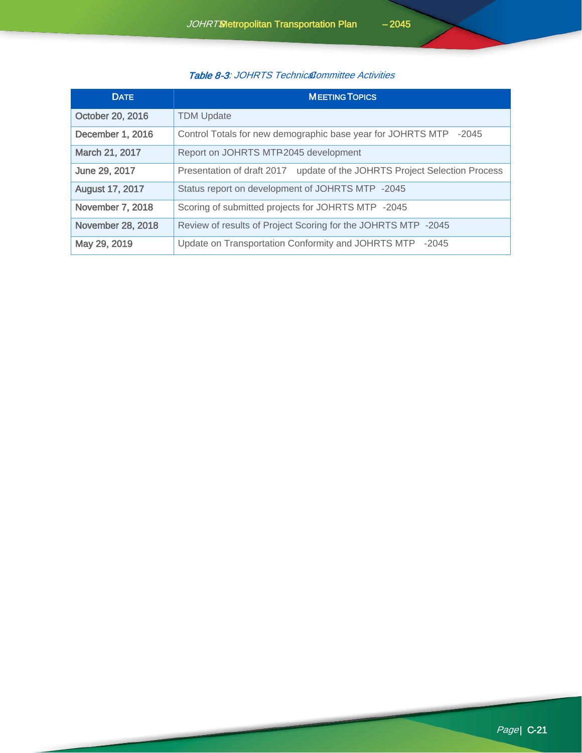#### Table 8-3: JOHRTS Technica0ommittee Activities

| <b>DATE</b>            | <b>MEETING TOPICS</b>                                                        |
|------------------------|------------------------------------------------------------------------------|
| October 20, 2016       | <b>TDM Update</b>                                                            |
| December 1, 2016       | Control Totals for new demographic base year for JOHRTS MTP<br>$-2045$       |
| March 21, 2017         | Report on JOHRTS MTP2045 development                                         |
| June 29, 2017          | update of the JOHRTS Project Selection Process<br>Presentation of draft 2017 |
| <b>August 17, 2017</b> | Status report on development of JOHRTS MTP -2045                             |
| November 7, 2018       | Scoring of submitted projects for JOHRTS MTP -2045                           |
| November 28, 2018      | Review of results of Project Scoring for the JOHRTS MTP -2045                |
| May 29, 2019           | Update on Transportation Conformity and JOHRTS MTP<br>$-2045$                |